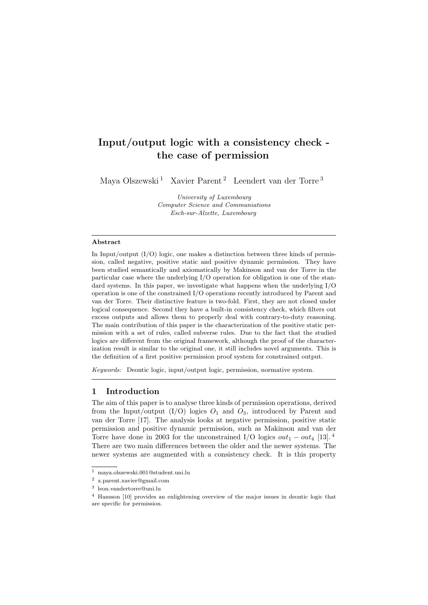# Input/output logic with a consistency check the case of permission

Maya Olszewski<sup>[1](#page-0-0)</sup> Xavier Parent<sup>[2](#page-0-1)</sup> Leendert van der Torre<sup>[3](#page-0-2)</sup>

University of Luxembourg Computer Science and Communiations Esch-sur-Alzette, Luxembourg

## Abstract

In Input/output  $(I/O)$  logic, one makes a distinction between three kinds of permission, called negative, positive static and positive dynamic permission. They have been studied semantically and axiomatically by Makinson and van der Torre in the particular case where the underlying I/O operation for obligation is one of the standard systems. In this paper, we investigate what happens when the underlying I/O operation is one of the constrained I/O operations recently introduced by Parent and van der Torre. Their distinctive feature is two-fold. First, they are not closed under logical consequence. Second they have a built-in consistency check, which filters out excess outputs and allows them to properly deal with contrary-to-duty reasoning. The main contribution of this paper is the characterization of the positive static permission with a set of rules, called subverse rules. Due to the fact that the studied logics are different from the original framework, although the proof of the characterization result is similar to the original one, it still includes novel arguments. This is the definition of a first positive permission proof system for constrained output.

Keywords: Deontic logic, input/output logic, permission, normative system.

## 1 Introduction

The aim of this paper is to analyse three kinds of permission operations, derived from the Input/output  $(I/O)$  logics  $O<sub>1</sub>$  and  $O<sub>3</sub>$ , introduced by Parent and van der Torre [\[17\]](#page-16-0). The analysis looks at negative permission, positive static permission and positive dynamic permission, such as Makinson and van der Torre have done in 2003 for the unconstrained I/O logics  $out_1 - out_4$  $out_1 - out_4$  [\[13\]](#page-16-1).<sup>4</sup> There are two main differences between the older and the newer systems. The newer systems are augmented with a consistency check. It is this property

<span id="page-0-0"></span><sup>1</sup> maya.olszewski.001@student.uni.lu

<span id="page-0-1"></span><sup>2</sup> x.parent.xavier@gmail.com

<span id="page-0-2"></span><sup>3</sup> leon.vandertorre@uni.lu

<span id="page-0-3"></span><sup>4</sup> Hansson [\[10\]](#page-16-2) provides an enlightening overview of the major issues in deontic logic that are specific for permission.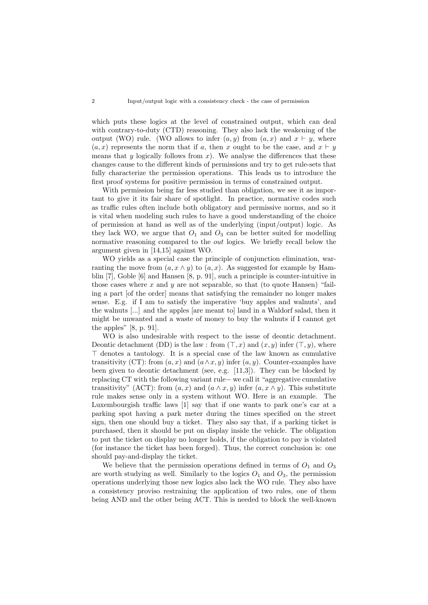which puts these logics at the level of constrained output, which can deal with contrary-to-duty (CTD) reasoning. They also lack the weakening of the output (WO) rule. (WO allows to infer  $(a, y)$  from  $(a, x)$  and  $x \vdash y$ , where  $(a, x)$  represents the norm that if a, then x ought to be the case, and  $x \vdash y$ means that y logically follows from  $x$ ). We analyse the differences that these changes cause to the different kinds of permissions and try to get rule-sets that fully characterize the permission operations. This leads us to introduce the first proof systems for positive permission in terms of constrained output.

With permission being far less studied than obligation, we see it as important to give it its fair share of spotlight. In practice, normative codes such as traffic rules often include both obligatory and permissive norms, and so it is vital when modeling such rules to have a good understanding of the choice of permission at hand as well as of the underlying (input/output) logic. As they lack WO, we argue that  $O_1$  and  $O_3$  can be better suited for modelling normative reasoning compared to the *out* logics. We briefly recall below the argument given in [\[14,](#page-16-3)[15\]](#page-16-4) against WO.

WO yields as a special case the principle of conjunction elimination, warranting the move from  $(a, x \wedge y)$  to  $(a, x)$ . As suggested for example by Hamblin [\[7\]](#page-16-5), Goble [\[6\]](#page-16-6) and Hansen [\[8,](#page-16-7) p. 91], such a principle is counter-intuitive in those cases where  $x$  and  $y$  are not separable, so that (to quote Hansen) "failing a part [of the order] means that satisfying the remainder no longer makes sense. E.g. if I am to satisfy the imperative 'buy apples and walnuts', and the walnuts [...] and the apples [are meant to] land in a Waldorf salad, then it might be unwanted and a waste of money to buy the walnuts if I cannot get the apples" [\[8,](#page-16-7) p. 91].

WO is also undesirable with respect to the issue of deontic detachment. Deontic detachment (DD) is the law : from  $(\top, x)$  and  $(x, y)$  infer  $(\top, y)$ , where  $\top$  denotes a tautology. It is a special case of the law known as cumulative transitivity (CT): from  $(a, x)$  and  $(a \wedge x, y)$  infer  $(a, y)$ . Counter-examples have been given to deontic detachment (see, e.g. [\[11,](#page-16-8)[3\]](#page-16-9)). They can be blocked by replacing CT with the following variant rule− we call it "aggregative cumulative transitivity" (ACT): from  $(a, x)$  and  $(a \wedge x, y)$  infer  $(a, x \wedge y)$ . This substitute rule makes sense only in a system without WO. Here is an example. The Luxembourgish traffic laws [\[1\]](#page-16-10) say that if one wants to park one's car at a parking spot having a park meter during the times specified on the street sign, then one should buy a ticket. They also say that, if a parking ticket is purchased, then it should be put on display inside the vehicle. The obligation to put the ticket on display no longer holds, if the obligation to pay is violated (for instance the ticket has been forged). Thus, the correct conclusion is: one should pay-and-display the ticket.

We believe that the permission operations defined in terms of  $O_1$  and  $O_3$ are worth studying as well. Similarly to the logics  $O_1$  and  $O_3$ , the permission operations underlying those new logics also lack the WO rule. They also have a consistency proviso restraining the application of two rules, one of them being AND and the other being ACT. This is needed to block the well-known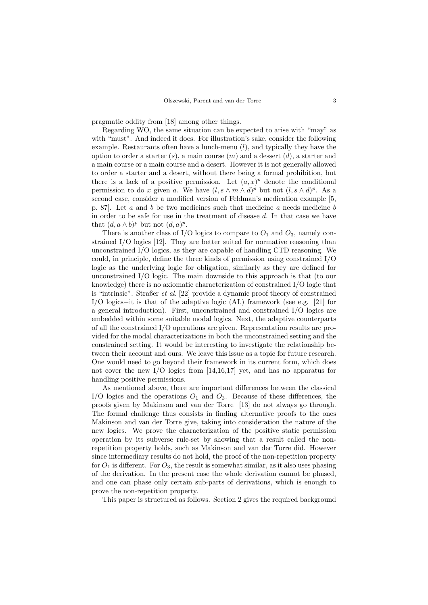pragmatic oddity from [\[18\]](#page-17-0) among other things.

Regarding WO, the same situation can be expected to arise with "may" as with "must". And indeed it does. For illustration's sake, consider the following example. Restaurants often have a lunch-menu  $(l)$ , and typically they have the option to order a starter  $(s)$ , a main course  $(m)$  and a dessert  $(d)$ , a starter and a main course or a main course and a desert. However it is not generally allowed to order a starter and a desert, without there being a formal prohibition, but there is a lack of a positive permission. Let  $(a, x)^p$  denote the conditional permission to do x given a. We have  $(l, s \wedge m \wedge d)^p$  but not  $(l, s \wedge d)^p$ . As a second case, consider a modified version of Feldman's medication example [\[5,](#page-16-11) p. 87]. Let a and b be two medicines such that medicine a needs medicine b in order to be safe for use in the treatment of disease d. In that case we have that  $(d, a \wedge b)^p$  but not  $(d, a)^p$ .

There is another class of I/O logics to compare to  $O_1$  and  $O_3$ , namely constrained I/O logics [\[12\]](#page-16-12). They are better suited for normative reasoning than unconstrained I/O logics, as they are capable of handling CTD reasoning. We could, in principle, define the three kinds of permission using constrained I/O logic as the underlying logic for obligation, similarly as they are defined for unconstrained I/O logic. The main downside to this approach is that (to our knowledge) there is no axiomatic characterization of constrained I/O logic that is "intrinsic". Straßer et al. [\[22\]](#page-17-1) provide a dynamic proof theory of constrained I/O logics−it is that of the adaptive logic (AL) framework (see e.g. [\[21\]](#page-17-2) for a general introduction). First, unconstrained and constrained I/O logics are embedded within some suitable modal logics. Next, the adaptive counterparts of all the constrained I/O operations are given. Representation results are provided for the modal characterizations in both the unconstrained setting and the constrained setting. It would be interesting to investigate the relationship between their account and ours. We leave this issue as a topic for future research. One would need to go beyond their framework in its current form, which does not cover the new I/O logics from [\[14,](#page-16-3)[16,](#page-16-13)[17\]](#page-16-0) yet, and has no apparatus for handling positive permissions.

As mentioned above, there are important differences between the classical I/O logics and the operations  $O_1$  and  $O_3$ . Because of these differences, the proofs given by Makinson and van der Torre [\[13\]](#page-16-1) do not always go through. The formal challenge thus consists in finding alternative proofs to the ones Makinson and van der Torre give, taking into consideration the nature of the new logics. We prove the characterization of the positive static permission operation by its subverse rule-set by showing that a result called the nonrepetition property holds, such as Makinson and van der Torre did. However since intermediary results do not hold, the proof of the non-repetition property for  $O_1$  is different. For  $O_3$ , the result is somewhat similar, as it also uses phasing of the derivation. In the present case the whole derivation cannot be phased, and one can phase only certain sub-parts of derivations, which is enough to prove the non-repetition property.

This paper is structured as follows. Section [2](#page-3-0) gives the required background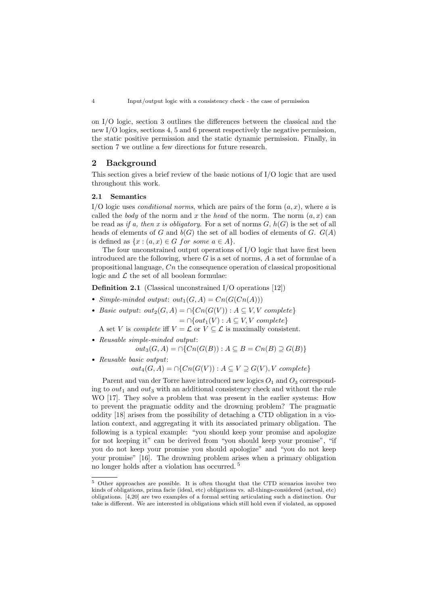on I/O logic, section [3](#page-5-0) outlines the differences between the classical and the new I/O logics, sections [4,](#page-6-0) [5](#page-9-0) and [6](#page-13-0) present respectively the negative permission, the static positive permission and the static dynamic permission. Finally, in section [7](#page-15-0) we outline a few directions for future research.

# <span id="page-3-0"></span>2 Background

This section gives a brief review of the basic notions of I/O logic that are used throughout this work.

#### 2.1 Semantics

I/O logic uses *conditional norms*, which are pairs of the form  $(a, x)$ , where a is called the *body* of the norm and x the *head* of the norm. The norm  $(a, x)$  can be read as if a, then x is obligatory. For a set of norms  $G$ ,  $h(G)$  is the set of all heads of elements of G and  $b(G)$  the set of all bodies of elements of G.  $G(A)$ is defined as  $\{x : (a, x) \in G \text{ for some } a \in A\}.$ 

The four unconstrained output operations of I/O logic that have first been introduced are the following, where  $G$  is a set of norms,  $A$  a set of formulae of a propositional language, Cn the consequence operation of classical propositional logic and  $\mathcal L$  the set of all boolean formulae:

Definition 2.1 (Classical unconstrained I/O operations [\[12\]](#page-16-12))

- Simple-minded output:  $out_1(G, A) = Cn(G(Cn(A)))$
- Basic output:  $out_2(G, A) = \bigcap \{Cn(G(V)) : A \subseteq V, V \text{ complete}\}\$  $= \bigcap \{out_1(V) : A \subseteq V, V \text{ complete}\}\$

A set V is *complete* iff  $V = \mathcal{L}$  or  $V \subseteq \mathcal{L}$  is maximally consistent.

- Reusable simple-minded output:
	- $out_3(G, A) = \bigcap \{Cn(G(B)) : A \subseteq B = Cn(B) \supseteq G(B)\}\$
- Reusable basic output:

$$
out_4(G, A) = \cap \{Cn(G(V)) : A \subseteq V \supseteq G(V), V \text{ complete}\}\
$$

Parent and van der Torre have introduced new logics  $O_1$  and  $O_3$  corresponding to  $out_1$  and  $out_3$  with an additional consistency check and without the rule WO [\[17\]](#page-16-0). They solve a problem that was present in the earlier systems: How to prevent the pragmatic oddity and the drowning problem? The pragmatic oddity [\[18\]](#page-17-0) arises from the possibility of detaching a CTD obligation in a violation context, and aggregating it with its associated primary obligation. The following is a typical example: "you should keep your promise and apologize for not keeping it" can be derived from "you should keep your promise", "if you do not keep your promise you should apologize" and "you do not keep your promise" [\[16\]](#page-16-13). The drowning problem arises when a primary obligation no longer holds after a violation has occurred. [5](#page-3-1)

<span id="page-3-1"></span><sup>5</sup> Other approaches are possible. It is often thought that the CTD scenarios involve two kinds of obligations, prima facie (ideal, etc) obligations vs. all-things-considered (actual, etc) obligations. [\[4,](#page-16-14)[20\]](#page-17-3) are two examples of a formal setting articulating such a distinction. Our take is different. We are interested in obligations which still hold even if violated, as opposed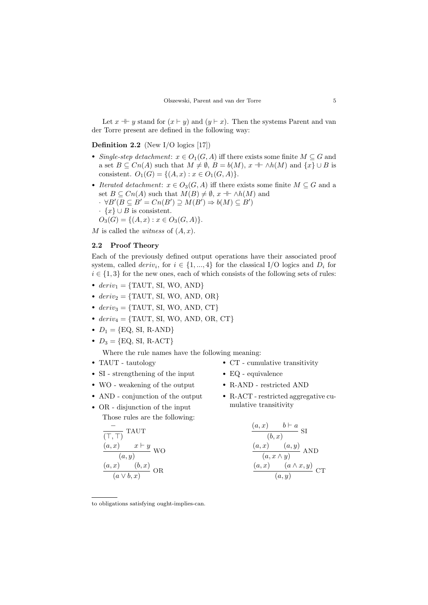Let  $x \dashv y$  stand for  $(x \vdash y)$  and  $(y \vdash x)$ . Then the systems Parent and van der Torre present are defined in the following way:

# **Definition 2.2** (New I/O logics [\[17\]](#page-16-0))

- Single-step detachment:  $x \in O_1(G, A)$  iff there exists some finite  $M \subseteq G$  and a set  $B \subseteq Cn(A)$  such that  $M \neq \emptyset$ ,  $B = b(M)$ ,  $x \dashv \wedge h(M)$  and  $\{x\} \cup B$  is consistent.  $O_1(G) = \{(A, x) : x \in O_1(G, A)\}.$
- Iterated detachment:  $x \in O_3(G, A)$  iff there exists some finite  $M \subseteq G$  and a set  $B \subseteq Cn(A)$  such that  $M(B) \neq \emptyset$ ,  $x + \wedge h(M)$  and

$$
\cdot \ \forall B'(B \subseteq B' = Cn(B') \supseteq M(B') \Rightarrow b(M) \subseteq B')
$$

 $\cdot \{x\} \cup B$  is consistent.

 $O_3(G) = \{(A, x) : x \in O_3(G, A)\}.$ 

M is called the *witness* of  $(A, x)$ .

#### 2.2 Proof Theory

Each of the previously defined output operations have their associated proof system, called  $deriv_i$ , for  $i \in \{1, ..., 4\}$  for the classical I/O logics and  $D_i$  for  $i \in \{1,3\}$  for the new ones, each of which consists of the following sets of rules:

- $deriv_1 = \{TAUT, SI, WO, AND\}$
- $deriv_2 = \{TAUT, SI, WO, AND, OR\}$
- $deriv_3 = \{TAUT, SI, WO, AND, CT\}$
- $deriv_4 = \{ TAUT, SI, WO, AND, OR, CT \}$
- $D_1 = \{ \text{EQ}, \text{ SI}, \text{ R-AND} \}$
- $D_3 = \{ \text{EQ}, \text{ SI}, \text{ R-ACT} \}$

Where the rule names have the following meaning:

- TAUT tautology
- SI strengthening of the input
- WO weakening of the output
- AND conjunction of the output
- OR disjunction of the input Those rules are the following:

$$
\frac{\overline{(\top,\top)}}{(a,x)} \text{ TAUT} \n\underline{(a,x)} \quad x \vdash y \text{ WO} \n\underline{(a,x)} \quad (b,x) \text{ OR} \n\underline{(a \lor b,x)} \text{ OR}
$$

- CT cumulative transitivity
- EQ equivalence
- R-AND restricted AND
- R-ACT restricted aggregative cumulative transitivity

$$
\frac{(a,x) \qquad b \vdash a}{(b,x)} \text{ SI}
$$
\n
$$
\frac{(a,x) \qquad (a,y)}{(a,x \land y)} \text{ AND}
$$
\n
$$
\frac{(a,x) \qquad (a \land x,y)}{(a,y)} \text{ CT}
$$

to obligations satisfying ought-implies-can.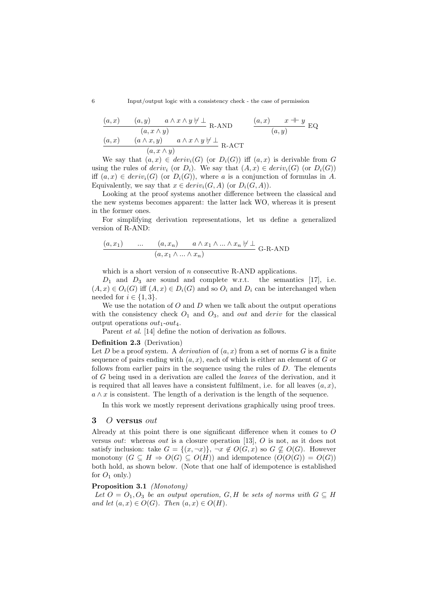6 Input/output logic with a consistency check - the case of permission

$$
\frac{(a,x) \qquad (a,y) \qquad a \wedge x \wedge y \neq \bot}{(a,x \wedge y)} \quad \text{R-AND} \qquad \frac{(a,x) \qquad x \dashv y}{(a,y)} \quad \text{EQ}
$$
\n
$$
\frac{(a,x) \qquad (a \wedge x,y) \qquad a \wedge x \wedge y \neq \bot}{(a,x \wedge y)} \quad \text{R-ACT}
$$

We say that  $(a, x) \in deriv_i(G)$  (or  $D_i(G)$ ) iff  $(a, x)$  is derivable from G using the rules of deriv<sub>i</sub> (or  $D_i$ ). We say that  $(A, x) \in deriv_i(G)$  (or  $D_i(G)$ ) iff  $(a, x) \in deriv_i(G)$  (or  $D_i(G)$ ), where a is a conjunction of formulas in A. Equivalently, we say that  $x \in deriv_i(G, A)$  (or  $D_i(G, A)$ ).

Looking at the proof systems another difference between the classical and the new systems becomes apparent: the latter lack WO, whereas it is present in the former ones.

For simplifying derivation representations, let us define a generalized version of R-AND:

$$
\frac{(a, x_1) \qquad \dots \qquad (a, x_n) \qquad a \wedge x_1 \wedge \dots \wedge x_n \nvdash \bot}{(a, x_1 \wedge \dots \wedge x_n)} \quad \text{G-R-AND}
$$

which is a short version of  $n$  consecutive R-AND applications.

 $D_1$  and  $D_3$  are sound and complete w.r.t. the semantics [\[17\]](#page-16-0), i.e.  $(A, x) \in O_i(G)$  iff  $(A, x) \in D_i(G)$  and so  $O_i$  and  $D_i$  can be interchanged when needed for  $i \in \{1,3\}.$ 

We use the notation of  $O$  and  $D$  when we talk about the output operations with the consistency check  $O_1$  and  $O_3$ , and *out* and *deriv* for the classical output operations  $out_1-out_4$ .

Parent *et al.* [\[14\]](#page-16-3) define the notion of derivation as follows.

#### Definition 2.3 (Derivation)

Let D be a proof system. A derivation of  $(a, x)$  from a set of norms G is a finite sequence of pairs ending with  $(a, x)$ , each of which is either an element of G or follows from earlier pairs in the sequence using the rules of  $D$ . The elements of G being used in a derivation are called the leaves of the derivation, and it is required that all leaves have a consistent fulfilment, i.e. for all leaves  $(a, x)$ ,  $a \wedge x$  is consistent. The length of a derivation is the length of the sequence.

In this work we mostly represent derivations graphically using proof trees.

# <span id="page-5-0"></span>3 O versus out

Already at this point there is one significant difference when it comes to O versus out: whereas out is a closure operation [\[13\]](#page-16-1), O is not, as it does not satisfy inclusion: take  $G = \{(x, \neg x)\}\text{, } \neg x \notin O(G, x)$  so  $G \nsubseteq O(G)$ . However monotony  $(G \subseteq H \Rightarrow O(G) \subseteq O(H))$  and idempotence  $(O(O(G)) = O(G))$ both hold, as shown below. (Note that one half of idempotence is established for  $O_1$  only.)

## Proposition 3.1 (Monotony)

Let  $O = O_1, O_3$  be an output operation, G, H be sets of norms with  $G \subseteq H$ and let  $(a, x) \in O(G)$ . Then  $(a, x) \in O(H)$ .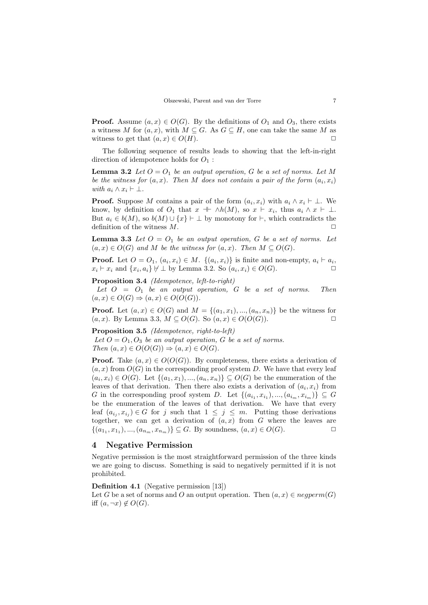**Proof.** Assume  $(a, x) \in O(G)$ . By the definitions of  $O_1$  and  $O_3$ , there exists a witness M for  $(a, x)$ , with  $M \subseteq G$ . As  $G \subseteq H$ , one can take the same M as witness to get that  $(a, x) \in O(H)$ .

The following sequence of results leads to showing that the left-in-right direction of idempotence holds for  $O_1$ :

<span id="page-6-1"></span>**Lemma 3.2** Let  $O = O_1$  be an output operation, G be a set of norms. Let M be the witness for  $(a, x)$ . Then M does not contain a pair of the form  $(a_i, x_i)$ with  $a_i \wedge x_i \vdash \bot$ .

**Proof.** Suppose M contains a pair of the form  $(a_i, x_i)$  with  $a_i \wedge x_i \vdash \bot$ . We know, by definition of  $O_1$  that  $x \perp \wedge h(M)$ , so  $x \vdash x_i$ , thus  $a_i \wedge x \vdash \perp$ . But  $a_i \in b(M)$ , so  $b(M) \cup \{x\} \vdash \bot$  by monotony for  $\vdash$ , which contradicts the definition of the witness  $M$ .

<span id="page-6-2"></span>**Lemma 3.3** Let  $O = O_1$  be an output operation, G be a set of norms. Let  $(a, x) \in O(G)$  and M be the witness for  $(a, x)$ . Then  $M \subseteq O(G)$ .

**Proof.** Let  $O = O_1$ ,  $(a_i, x_i) \in M$ .  $\{(a_i, x_i)\}\$ is finite and non-empty,  $a_i \vdash a_i$ ,  $x_i \vdash x_i$  and  $\{x_i, a_i\} \not\vdash \bot$  by Lemma [3.2.](#page-6-1) So  $(a_i, x_i) \in O(G)$ .

<span id="page-6-3"></span>Proposition 3.4 (Idempotence, left-to-right)

Let  $O = O_1$  be an output operation, G be a set of norms. Then  $(a, x) \in O(G) \Rightarrow (a, x) \in O(O(G)).$ 

**Proof.** Let  $(a, x) \in O(G)$  and  $M = \{(a_1, x_1), ..., (a_n, x_n)\}\)$  be the witness for  $(a, x)$ . By Lemma [3.3,](#page-6-2)  $M \subseteq O(G)$ . So  $(a, x) \in O(O(G))$ .

Proposition 3.5 (Idempotence, right-to-left) Let  $O = O_1$ ,  $O_3$  be an output operation, G be a set of norms. Then  $(a, x) \in O(O(G)) \Rightarrow (a, x) \in O(G)$ .

**Proof.** Take  $(a, x) \in O(O(G))$ . By completeness, there exists a derivation of  $(a, x)$  from  $O(G)$  in the corresponding proof system D. We have that every leaf  $(a_i, x_i) \in O(G)$ . Let  $\{(a_1, x_1), ..., (a_n, x_n)\} \subseteq O(G)$  be the enumeration of the leaves of that derivation. Then there also exists a derivation of  $(a_i, x_i)$  from G in the corresponding proof system D. Let  $\{(a_{i_1}, x_{i_1}), ..., (a_{i_m}, x_{i_m})\} \subseteq G$ be the enumeration of the leaves of that derivation. We have that every leaf  $(a_{i_j}, x_{i_j}) \in G$  for j such that  $1 \leq j \leq m$ . Putting those derivations together, we can get a derivation of  $(a, x)$  from G where the leaves are  $\{(a_{1_1}, x_{1_1}), ..., (a_{n_m}, x_{n_m})\} \subseteq G$ . By soundness,  $(a, x) \in O(G)$ .

## <span id="page-6-0"></span>4 Negative Permission

Negative permission is the most straightforward permission of the three kinds we are going to discuss. Something is said to negatively permitted if it is not prohibited.

Definition 4.1 (Negative permission [\[13\]](#page-16-1)) Let G be a set of norms and O an output operation. Then  $(a, x) \in negperm(G)$ iff  $(a, \neg x) \notin O(G)$ .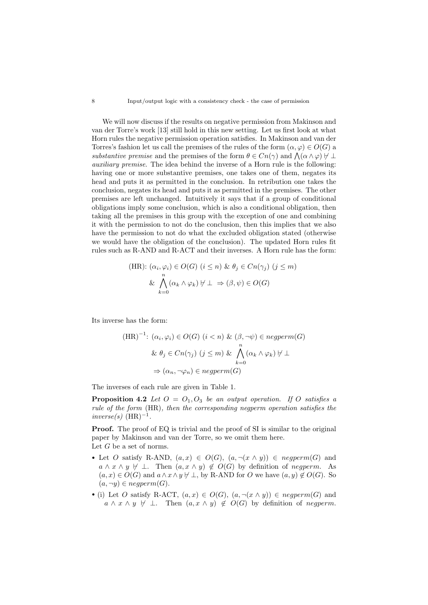We will now discuss if the results on negative permission from Makinson and van der Torre's work [\[13\]](#page-16-1) still hold in this new setting. Let us first look at what Horn rules the negative permission operation satisfies. In Makinson and van der Torres's fashion let us call the premises of the rules of the form  $(\alpha, \varphi) \in O(G)$  a substantive premise and the premises of the form  $\theta \in C_n(\gamma)$  and  $\Lambda(\alpha \wedge \varphi) \not\vdash \bot$ auxiliary premise. The idea behind the inverse of a Horn rule is the following: having one or more substantive premises, one takes one of them, negates its head and puts it as permitted in the conclusion. In retribution one takes the conclusion, negates its head and puts it as permitted in the premises. The other premises are left unchanged. Intuitively it says that if a group of conditional obligations imply some conclusion, which is also a conditional obligation, then taking all the premises in this group with the exception of one and combining it with the permission to not do the conclusion, then this implies that we also have the permission to not do what the excluded obligation stated (otherwise we would have the obligation of the conclusion). The updated Horn rules fit rules such as R-AND and R-ACT and their inverses. A Horn rule has the form:

(HR): 
$$
(\alpha_i, \varphi_i) \in O(G)
$$
  $(i \le n)$  &  $\theta_j \in Cn(\gamma_j)$   $(j \le m)$   
&  $\bigwedge_{k=0}^{n} (\alpha_k \wedge \varphi_k) \neq \bot \Rightarrow (\beta, \psi) \in O(G)$ 

Its inverse has the form:

$$
(\text{HR})^{-1} \colon (\alpha_i, \varphi_i) \in O(G) \ (i < n) \ \& (\beta, \neg \psi) \in negperm(G)
$$
\n
$$
\& \theta_j \in Cn(\gamma_j) \ (j \leq m) \ \& \ \bigwedge_{k=0}^n (\alpha_k \land \varphi_k) \ \forall \ \bot
$$
\n
$$
\Rightarrow (\alpha_n, \neg \varphi_n) \in negperm(G)
$$

The inverses of each rule are given in Table [1.](#page-8-0)

**Proposition 4.2** Let  $O = O_1, O_3$  be an output operation. If O satisfies a rule of the form (HR), then the corresponding negperm operation satisfies the  $inverse(s)$  (HR)<sup>-1</sup>.

**Proof.** The proof of EQ is trivial and the proof of SI is similar to the original paper by Makinson and van der Torre, so we omit them here. Let  $G$  be a set of norms.

- Let O satisfy R-AND,  $(a, x) \in O(G)$ ,  $(a, \neg(x \wedge y)) \in negperm(G)$  and  $a \wedge x \wedge y \not\vdash \bot$ . Then  $(a, x \wedge y) \notin O(G)$  by definition of negperm. As  $(a, x) \in O(G)$  and  $a \wedge x \wedge y \nleftrightarrow \perp$ , by R-AND for O we have  $(a, y) \notin O(G)$ . So  $(a, \neg y) \in negperm(G).$
- (i) Let O satisfy R-ACT,  $(a, x) \in O(G)$ ,  $(a, \neg(x \wedge y)) \in negperm(G)$  and  $a \wedge x \wedge y \not\vdash \bot$ . Then  $(a, x \wedge y) \notin O(G)$  by definition of negperm.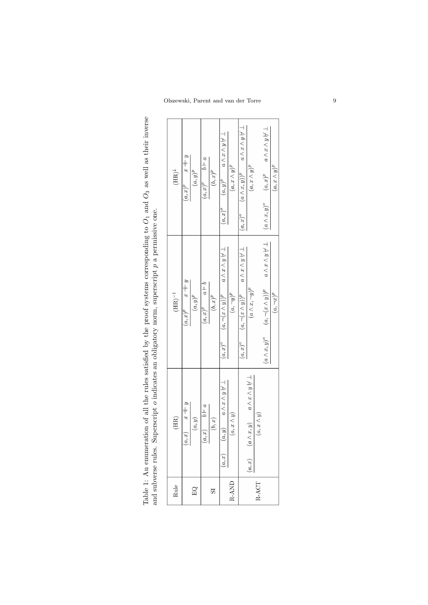<span id="page-8-0"></span>Table 1: An enumeration of all the rules satisfied by the proof systems corresponding to Table 1: An enumeration of all the rules satisfied by the proof systems corresponding to  $O_1$  and  $O_3$  as well as their inverse and subverse rules. Superscript  $o$  indicates an obligatory norm, superscript  $p$  a permiss  $O_3$  as well as their inverse and subverse rules. Superscript o indicates an obligatory norm, superscript p a permissive one.

|  |                             |                                  |  |                             |            |                                                        |                   | $(a, x)^o$ $(a \wedge x, y)^p$ $a \wedge x \wedge y \nvdash \bot$ |                                                   |  | $a \wedge x \wedge y \nvdash \bot$            |                     |
|--|-----------------------------|----------------------------------|--|-----------------------------|------------|--------------------------------------------------------|-------------------|-------------------------------------------------------------------|---------------------------------------------------|--|-----------------------------------------------|---------------------|
|  | $(\mathrm{HR})^\downarrow$  | $(a, x)^p$ $x + y$<br>$(a, y)^p$ |  | $(a,x)^p \qquad b \vdash a$ | $(b, x)^p$ | $(a, x)^o$ $(a, y)^p$ $a \wedge x \wedge y \vee \perp$ | $(a,x\wedge y)^p$ |                                                                   | $(a,x\wedge y)^p$                                 |  | $(a \wedge x, y)^{\circ}$ $(a, x)^p$          | $(a, x \wedge y)^p$ |
|  | $(\mathrm{HR})^{-1}$        |                                  |  | $(a,x)^p\qquad a\vdash b$   | $(b, x)^p$ |                                                        | $(a,\neg y)^p$    |                                                                   | $(a \wedge x, \neg y)^p$                          |  |                                               |                     |
|  |                             |                                  |  |                             |            | $a \wedge x \wedge y \nvdash \bot$                     |                   | $a \wedge x \wedge y \nvdash \bot$                                |                                                   |  | $a \wedge x \wedge y \nvdash \bot$            |                     |
|  |                             | $(a,x)^p$ $x + y$<br>$(a,y)^p$   |  |                             |            | $(a, \neg(x \wedge y))^{p}$                            |                   | $(a, \neg(x \wedge y))^{p}$                                       |                                                   |  | $(a \wedge x, y)^o$ $(a, \neg(x \wedge y))^p$ | $(a, \neg x)^p$     |
|  |                             |                                  |  |                             |            | $(a, x)^{\circ}$                                       |                   | $(a, x)^{o}$                                                      |                                                   |  |                                               |                     |
|  |                             |                                  |  |                             |            |                                                        |                   |                                                                   | $(a \wedge x, y)$ $a \wedge x \wedge y \vee \bot$ |  |                                               |                     |
|  | $\left( \mathrm{HR}\right)$ | $x + y$<br>(a, y)<br>(a, x)      |  | $(a, x)$ $b \vdash a$       | (b, x)     | $(a, y)$ $a \wedge x \wedge y \vee \perp$              | $(a, x \wedge y)$ |                                                                   | $(a, x \wedge y)$                                 |  |                                               |                     |
|  |                             |                                  |  |                             |            | (a, x)                                                 |                   |                                                                   | (a, x)                                            |  |                                               |                     |
|  | Rule                        | EQ                               |  |                             | 52         | R-AND                                                  |                   | RACT                                                              |                                                   |  |                                               |                     |

 $\overline{1}$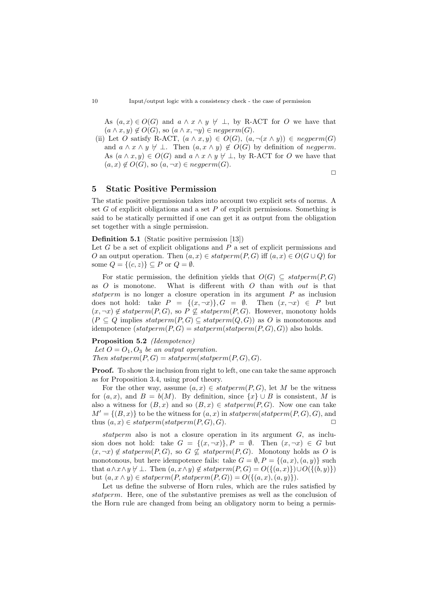As  $(a, x) \in O(G)$  and  $a \wedge x \wedge y \nleftrightarrow \perp$ , by R-ACT for O we have that  $(a \wedge x, y) \notin O(G)$ , so  $(a \wedge x, \neg y) \in negperm(G)$ .

(ii) Let O satisfy R-ACT,  $(a \wedge x, y) \in O(G)$ ,  $(a, \neg(x \wedge y)) \in negperm(G)$ and  $a \wedge x \wedge y \not\vdash \bot$ . Then  $(a, x \wedge y) \notin O(G)$  by definition of negperm. As  $(a \wedge x, y) \in O(G)$  and  $a \wedge x \wedge y \nvdash \bot$ , by R-ACT for O we have that  $(a, x) \notin O(G)$ , so  $(a, \neg x) \in negperm(G)$ .

## <span id="page-9-0"></span>5 Static Positive Permission

The static positive permission takes into account two explicit sets of norms. A set  $G$  of explicit obligations and a set  $P$  of explicit permissions. Something is said to be statically permitted if one can get it as output from the obligation set together with a single permission.

Definition 5.1 (Static positive permission [\[13\]](#page-16-1))

Let  $G$  be a set of explicit obligations and  $P$  a set of explicit permissions and O an output operation. Then  $(a, x) \in statement(P, G)$  iff  $(a, x) \in O(G \cup Q)$  for some  $Q = \{(c, z)\}\subseteq P$  or  $Q = \emptyset$ .

For static permission, the definition yields that  $O(G) \subseteq statement(P, G)$ as  $O$  is monotone. What is different with  $O$  than with *out* is that statperm is no longer a closure operation in its argument  $P$  as inclusion does not hold: take  $P = \{(x, \neg x)\}\$ ,  $G = \emptyset$ . Then  $(x, \neg x) \in P$  but  $(x, \neg x) \notin statement(P, G)$ , so  $P \not\subseteq statement(P, G)$ . However, monotony holds  $(P \subseteq Q$  implies statperm $(P, G) \subseteq statement(Q, G)$  as O is monotonous and idempotence  $(stateterm(P, G) = statperm(stateterm(P, G), G)$  also holds.

Proposition 5.2 (Idempotence)

Let  $O = O_1$ ,  $O_3$  be an output operation. Then statperm $(P, G) =$ statperm $(statperm(P, G), G)$ .

**Proof.** To show the inclusion from right to left, one can take the same approach as for Proposition [3.4,](#page-6-3) using proof theory.

For the other way, assume  $(a, x) \in statement(P, G)$ , let M be the witness for  $(a, x)$ , and  $B = b(M)$ . By definition, since  $\{x\} \cup B$  is consistent, M is also a witness for  $(B, x)$  and so  $(B, x) \in statement(P, G)$ . Now one can take  $M' = \{(B, x)\}\$ to be the witness for  $(a, x)$  in statperm(statperm $(P, G), G$ ), and thus  $(a, x) \in statement(start, G), G$ .

statperm also is not a closure operation in its argument  $G$ , as inclusion does not hold: take  $G = \{(x, \neg x)\}, P = \emptyset$ . Then  $(x, \neg x) \in G$  but  $(x, \neg x) \notin statement(P, G)$ , so  $G \nsubseteq statement(P, G)$ . Monotony holds as O is monotonous, but here idempotence fails: take  $G = \emptyset$ ,  $P = \{(a, x), (a, y)\}\$  such that  $a \wedge x \wedge y \not\vdash \bot$ . Then  $(a, x \wedge y) \notin statement(P, G) = O(\{(a, x)\})\cup O(\{(b, y)\})$ but  $(a, x \wedge y) \in statement(P, statement(P, G)) = O({(a, x), (a, y)}).$ 

Let us define the subverse of Horn rules, which are the rules satisfied by statperm. Here, one of the substantive premises as well as the conclusion of the Horn rule are changed from being an obligatory norm to being a permis-

 $\Box$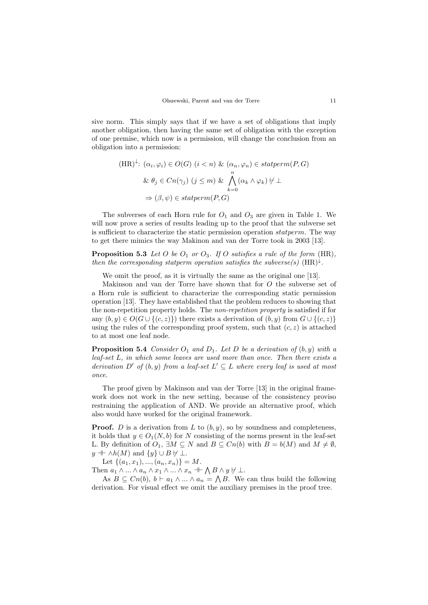sive norm. This simply says that if we have a set of obligations that imply another obligation, then having the same set of obligation with the exception of one premise, which now is a permission, will change the conclusion from an obligation into a permission:

$$
(\text{HR})^{\downarrow} : (\alpha_i, \varphi_i) \in O(G) \ (i < n) \ \& (\alpha_n, \varphi_n) \in statement(P, G)
$$
\n
$$
\& \ \theta_j \in Cn(\gamma_j) \ (j \leq m) \ \& \ \bigwedge_{k=0}^n (\alpha_k \land \varphi_k) \ \forall \ \bot
$$
\n
$$
\Rightarrow (\beta, \psi) \in statement(P, G)
$$

The subverses of each Horn rule for  $O_1$  and  $O_3$  are given in Table [1.](#page-8-0) We will now prove a series of results leading up to the proof that the subverse set is sufficient to characterize the static permission operation statperm. The way to get there mimics the way Makinon and van der Torre took in 2003 [\[13\]](#page-16-1).

**Proposition 5.3** Let O be  $O_1$  or  $O_3$ . If O satisfies a rule of the form (HR), then the corresponding statperm operation satisfies the subverse(s)  $(HR)^{\downarrow}$ .

We omit the proof, as it is virtually the same as the original one [\[13\]](#page-16-1).

Makinson and van der Torre have shown that for O the subverse set of a Horn rule is sufficient to characterize the corresponding static permission operation [\[13\]](#page-16-1). They have established that the problem reduces to showing that the non-repetition property holds. The non-repetition property is satisfied if for any  $(b, y) \in O(G \cup \{(c, z)\})$  there exists a derivation of  $(b, y)$  from  $G \cup \{(c, z)\}\$ using the rules of the corresponding proof system, such that  $(c, z)$  is attached to at most one leaf node.

**Proposition 5.4** Consider  $O_1$  and  $D_1$ . Let D be a derivation of  $(b, y)$  with a leaf-set L, in which some leaves are used more than once. Then there exists a derivation D' of  $(b, y)$  from a leaf-set  $L' \subseteq L$  where every leaf is used at most once.

The proof given by Makinson and van der Torre [\[13\]](#page-16-1) in the original framework does not work in the new setting, because of the consistency proviso restraining the application of AND. We provide an alternative proof, which also would have worked for the original framework.

**Proof.** D is a derivation from L to  $(b, y)$ , so by soundness and completeness, it holds that  $y \in O_1(N, b)$  for N consisting of the norms present in the leaf-set L. By definition of  $O_1$ ,  $\exists M \subseteq N$  and  $B \subseteq Cn(b)$  with  $B = b(M)$  and  $M \neq \emptyset$ ,  $y \dashv \vdash \wedge h(M)$  and  $\{y\} \cup B \not\vdash \bot$ .

Let  $\{(a_1, x_1), ..., (a_n, x_n)\} = M$ .

Then  $a_1 \wedge ... \wedge a_n \wedge x_1 \wedge ... \wedge x_n \dashv \bigwedge B \wedge y \nvdash \bot.$ 

As  $B \subseteq Cn(b), b \vdash a_1 \wedge ... \wedge a_n = \bigwedge B$ . We can thus build the following derivation. For visual effect we omit the auxiliary premises in the proof tree.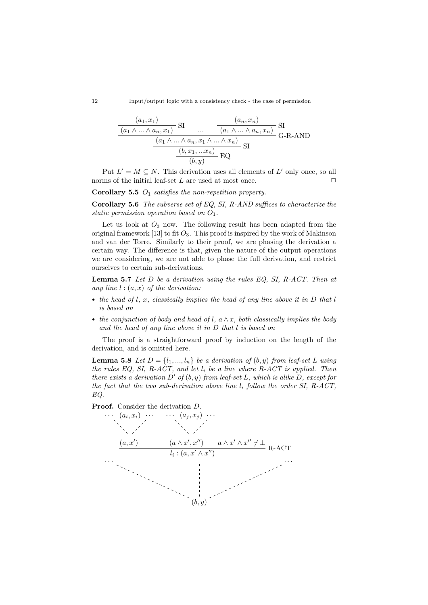12 Input/output logic with a consistency check - the case of permission

$$
\frac{\frac{(a_1, x_1)}{(a_1 \wedge \ldots \wedge a_n, x_1)} \text{ SI} \qquad \dots \qquad (a_n, x_n)}{\frac{(a_1 \wedge \ldots \wedge a_n, x_1 \wedge \ldots \wedge x_n)}{(b_1 \wedge \ldots \wedge a_n, x_1 \wedge \ldots \wedge x_n)} \text{SI}} \text{G-R-AND}
$$
\n
$$
\frac{(b, x_1, \ldots, x_n)}{(b, y)} \text{EQ}
$$

Put  $L' = M \subseteq N$ . This derivation uses all elements of  $L'$  only once, so all norms of the initial leaf-set  $L$  are used at most once.

Corollary 5.5  $O_1$  satisfies the non-repetition property.

Corollary 5.6 The subverse set of EQ, SI, R-AND suffices to characterize the static permission operation based on  $O_1$ .

Let us look at  $O_3$  now. The following result has been adapted from the original framework [\[13\]](#page-16-1) to fit  $O_3$ . This proof is inspired by the work of Makinson and van der Torre. Similarly to their proof, we are phasing the derivation a certain way. The difference is that, given the nature of the output operations we are considering, we are not able to phase the full derivation, and restrict ourselves to certain sub-derivations.

<span id="page-11-0"></span>**Lemma 5.7** Let  $D$  be a derivation using the rules EQ, SI, R-ACT. Then at any line  $l : (a, x)$  of the derivation:

- the head of  $l, x$ , classically implies the head of any line above it in  $D$  that  $l$ is based on
- the conjunction of body and head of l,  $a \wedge x$ , both classically implies the body and the head of any line above it in D that l is based on

The proof is a straightforward proof by induction on the length of the derivation, and is omitted here.

<span id="page-11-1"></span>**Lemma 5.8** Let  $D = \{l_1, ..., l_n\}$  be a derivation of  $(b, y)$  from leaf-set L using the rules EQ, SI, R-ACT, and let  $l_i$  be a line where R-ACT is applied. Then there exists a derivation  $D'$  of  $(b, y)$  from leaf-set L, which is alike D, except for the fact that the two sub-derivation above line  $l_i$  follow the order SI, R-ACT, EQ.

Proof. Consider the derivation D.

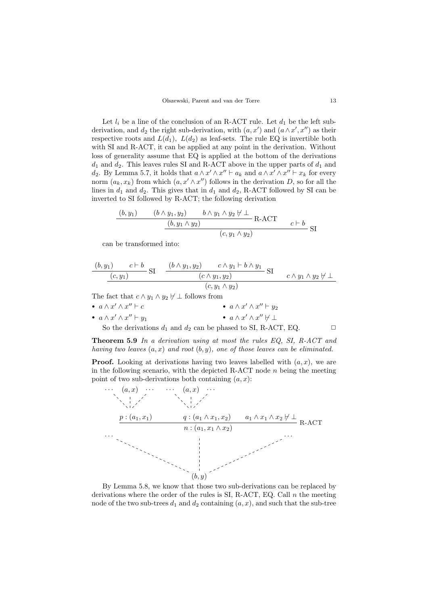Let  $l_i$  be a line of the conclusion of an R-ACT rule. Let  $d_1$  be the left subderivation, and  $d_2$  the right sub-derivation, with  $(a, x')$  and  $(a \wedge x', x'')$  as their respective roots and  $L(d_1)$ ,  $L(d_2)$  as leaf-sets. The rule EQ is invertible both with SI and R-ACT, it can be applied at any point in the derivation. Without loss of generality assume that EQ is applied at the bottom of the derivations  $d_1$  and  $d_2$ . This leaves rules SI and R-ACT above in the upper parts of  $d_1$  and d<sub>2</sub>. By Lemma [5.7,](#page-11-0) it holds that  $a \wedge x' \wedge x'' \vdash a_k$  and  $a \wedge x' \wedge x'' \vdash x_k$  for every norm  $(a_k, x_k)$  from which  $(a, x' \wedge x'')$  follows in the derivation D, so for all the lines in  $d_1$  and  $d_2$ . This gives that in  $d_1$  and  $d_2$ , R-ACT followed by SI can be inverted to SI followed by R-ACT; the following derivation

$$
\frac{(b, y_1) \qquad (b \wedge y_1, y_2) \qquad b \wedge y_1 \wedge y_2 \nvdash \perp \text{R-ACT}}{(b, y_1 \wedge y_2)} \text{R-ACT} \qquad c \vdash b \text{SI}
$$

can be transformed into:

$$
\frac{(b,y_1) \quad c \vdash b}{(c,y_1)} \text{ SI } \frac{(b \land y_1, y_2) \quad c \land y_1 \vdash b \land y_1}{(c \land y_1, y_2)} \text{ SI } \frac{c \land y_1 \land y_2 \not\vdash \bot}{(c,y_1 \land y_2)}
$$

The fact that  $c \wedge y_1 \wedge y_2 \nvdash \bot$  follows from

\n- \n
$$
a \wedge x' \wedge x'' \vdash c
$$
\n
\n- \n $a \wedge x' \wedge x'' \vdash y_1$ \n
\n- \n $a \wedge x' \wedge x'' \vdash y_1$ \n
\n- \n $a \wedge x' \wedge x'' \nvdash y_1$ \n
\n- \n $a \wedge x' \wedge x'' \nvdash \perp$ \n
\n- \n $a \wedge x' \wedge x'' \nvdash \perp$ \n
\n- \n $a \wedge x' \wedge x'' \nvdash \perp$ \n
\n- \n $a \wedge x' \wedge x'' \nvdash \perp$ \n
\n- \n $\Box$ \n
\n

Theorem 5.9 In a derivation using at most the rules EQ, SI, R-ACT and having two leaves  $(a, x)$  and root  $(b, y)$ , one of those leaves can be eliminated.

**Proof.** Looking at derivations having two leaves labelled with  $(a, x)$ , we are in the following scenario, with the depicted R-ACT node  $n$  being the meeting point of two sub-derivations both containing  $(a, x)$ :



By Lemma [5.8,](#page-11-1) we know that those two sub-derivations can be replaced by derivations where the order of the rules is SI, R-ACT, EQ. Call  $\boldsymbol{n}$  the meeting node of the two sub-trees  $d_1$  and  $d_2$  containing  $(a, x)$ , and such that the sub-tree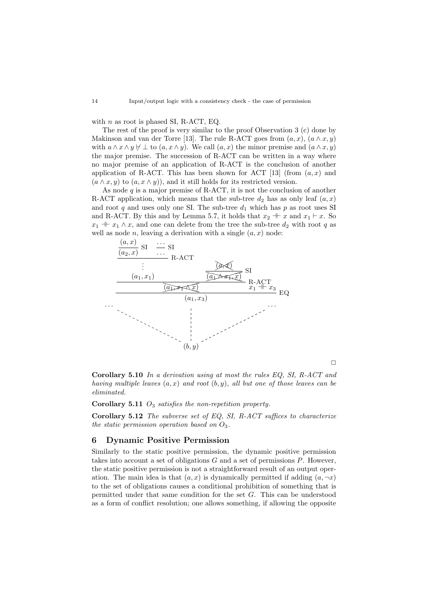with  $n$  as root is phased SI, R-ACT, EQ.

The rest of the proof is very similar to the proof Observation 3 (c) done by Makinson and van der Torre [\[13\]](#page-16-1). The rule R-ACT goes from  $(a, x)$ ,  $(a \wedge x, y)$ with  $a \wedge x \wedge y \nvdash \bot$  to  $(a, x \wedge y)$ . We call  $(a, x)$  the minor premise and  $(a \wedge x, y)$ the major premise. The succession of R-ACT can be written in a way where no major premise of an application of R-ACT is the conclusion of another application of R-ACT. This has been shown for ACT [\[13\]](#page-16-1) (from  $(a, x)$  and  $(a \wedge x, y)$  to  $(a, x \wedge y)$ , and it still holds for its restricted version.

As node  $q$  is a major premise of R-ACT, it is not the conclusion of another R-ACT application, which means that the sub-tree  $d_2$  has as only leaf  $(a, x)$ and root q and uses only one SI. The sub-tree  $d_1$  which has p as root uses SI and R-ACT. By this and by Lemma [5.7,](#page-11-0) it holds that  $x_2 + x$  and  $x_1 \vdash x$ . So  $x_1 + x_1 \wedge x$ , and one can delete from the tree the sub-tree  $d_2$  with root q as well as node *n*, leaving a derivation with a single  $(a, x)$  node:



 $\Box$ 

Corollary 5.10 In a derivation using at most the rules EQ, SI, R-ACT and having multiple leaves  $(a, x)$  and root  $(b, y)$ , all but one of those leaves can be eliminated.

Corollary 5.11  $O_3$  satisfies the non-repetition property.

Corollary 5.12 The subverse set of EQ, SI, R-ACT suffices to characterize the static permission operation based on  $O_3$ .

## <span id="page-13-0"></span>6 Dynamic Positive Permission

Similarly to the static positive permission, the dynamic positive permission takes into account a set of obligations  $G$  and a set of permissions  $P$ . However, the static positive permission is not a straightforward result of an output operation. The main idea is that  $(a, x)$  is dynamically permitted if adding  $(a, \neg x)$ to the set of obligations causes a conditional prohibition of something that is permitted under that same condition for the set G. This can be understood as a form of conflict resolution; one allows something, if allowing the opposite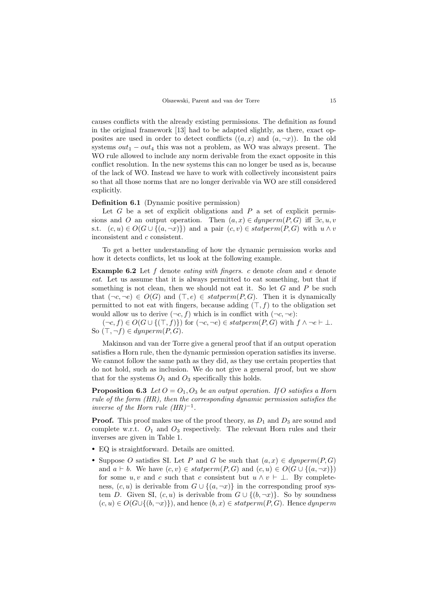causes conflicts with the already existing permissions. The definition as found in the original framework [\[13\]](#page-16-1) had to be adapted slightly, as there, exact opposites are used in order to detect conflicts  $((a, x)$  and  $(a, \neg x)$ . In the old systems  $out_1 - out_4$  this was not a problem, as WO was always present. The WO rule allowed to include any norm derivable from the exact opposite in this conflict resolution. In the new systems this can no longer be used as is, because of the lack of WO. Instead we have to work with collectively inconsistent pairs so that all those norms that are no longer derivable via WO are still considered explicitly.

#### Definition 6.1 (Dynamic positive permission)

Let  $G$  be a set of explicit obligations and  $P$  a set of explicit permissions and O an output operation. Then  $(a, x) \in dynperm(P, G)$  iff  $\exists c, u, v$ s.t.  $(c, u) \in O(G \cup \{(a, \neg x)\})$  and a pair  $(c, v) \in statement(P, G)$  with  $u \wedge v$ inconsistent and c consistent.

To get a better understanding of how the dynamic permission works and how it detects conflicts, let us look at the following example.

**Example 6.2** Let  $f$  denote eating with fingers. c denote clean and  $e$  denote eat. Let us assume that it is always permitted to eat something, but that if something is not clean, then we should not eat it. So let  $G$  and  $P$  be such that  $(\neg c, \neg e) \in O(G)$  and  $(\top, e) \in \text{statperm}(P, G)$ . Then it is dynamically permitted to not eat with fingers, because adding  $(T, f)$  to the obligation set would allow us to derive  $(\neg c, f)$  which is in conflict with  $(\neg c, \neg e)$ :

 $(\neg c, f) \in O(G \cup \{(\top, f)\})$  for  $(\neg c, \neg e) \in statement(P, G)$  with  $f \land \neg e \vdash \bot$ . So  $(\top, \neg f) \in dynperm(P, G)$ .

Makinson and van der Torre give a general proof that if an output operation satisfies a Horn rule, then the dynamic permission operation satisfies its inverse. We cannot follow the same path as they did, as they use certain properties that do not hold, such as inclusion. We do not give a general proof, but we show that for the systems  $O_1$  and  $O_3$  specifically this holds.

**Proposition 6.3** Let  $O = O_1$ ,  $O_3$  be an output operation. If O satisfies a Horn rule of the form (HR), then the corresponding dynamic permission satisfies the inverse of the Horn rule  $(HR)^{-1}$ .

**Proof.** This proof makes use of the proof theory, as  $D_1$  and  $D_3$  are sound and complete w.r.t.  $O_1$  and  $O_3$  respectively. The relevant Horn rules and their inverses are given in Table [1.](#page-8-0)

- EQ is straightforward. Details are omitted.
- Suppose O satisfies SI. Let P and G be such that  $(a, x) \in {dymperm}(P, G)$ and  $a \vdash b$ . We have  $(c, v) \in statement(P, G)$  and  $(c, u) \in O(G \cup \{(a, \neg x)\})$ for some u, v and c such that c consistent but  $u \wedge v \vdash \bot$ . By completeness,  $(c, u)$  is derivable from  $G \cup \{(a, \neg x)\}\$ in the corresponding proof system D. Given SI,  $(c, u)$  is derivable from  $G \cup \{(b, \neg x)\}\)$ . So by soundness  $(c, u) \in O(G \cup \{(b, \neg x)\})$ , and hence  $(b, x) \in statement(P, G)$ . Hence dynperm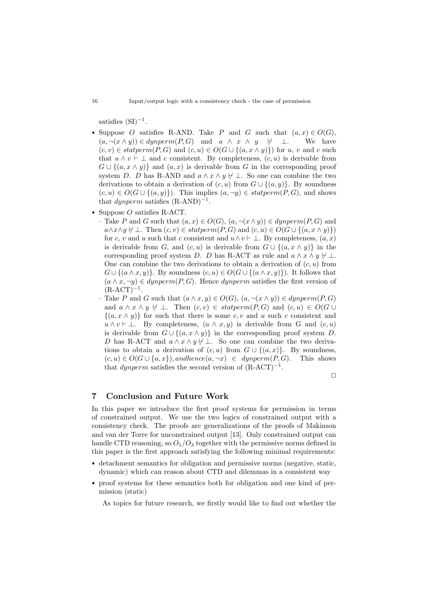satisfies  $(SI)^{-1}$ .

- Suppose O satisfies R-AND. Take P and G such that  $(a, x) \in O(G)$ ,  $(a, \neg(x \wedge y)) \in dynperm(P, G)$  and  $a \wedge x \wedge y \quad \forall \quad \bot$ . We have  $(c, v) \in statement(P, G)$  and  $(c, u) \in O(G \cup \{(a, x \wedge y)\})$  for u, v and c such that  $u \wedge v \vdash \perp$  and c consistent. By completeness,  $(c, u)$  is derivable from  $G \cup \{(a, x \wedge y)\}\$ and  $(a, x)$  is derivable from G in the corresponding proof system D. D has R-AND and  $a \wedge x \wedge y \nvdash \bot$ . So one can combine the two derivations to obtain a derivation of  $(c, u)$  from  $G \cup \{(a, y)\}\$ . By soundness  $(c, u) \in O(G \cup \{(a, y)\})$ . This implies  $(a, \neg y) \in statement(P, G)$ , and shows that *dynperm* satisfies  $(R-AND)^{-1}$ .
- Suppose *O* satisfies R-ACT.
	- · Take P and G such that  $(a, x) \in O(G)$ ,  $(a, \neg(x \wedge y)) \in dynperm(P, G)$  and  $a \wedge x \wedge y \nvdash \bot$ . Then  $(c, v) \in statement(P, G)$  and  $(c, u) \in O(G \cup \{(a, x \wedge y)\})$ for c, v and u such that c consistent and  $u \wedge v \vdash \bot$ . By completeness,  $(a, x)$ is derivable from G, and  $(c, u)$  is derivable from  $G \cup \{(a, x \wedge y)\}\$ in the corresponding proof system D. D has R-ACT as rule and  $a \wedge x \wedge y \not\vdash \bot$ . One can combine the two derivations to obtain a derivation of  $(c, u)$  from  $G \cup \{(a \wedge x, y)\}\.$  By soundness  $(c, u) \in O(G \cup \{(a \wedge x, y)\})$ . It follows that  $(a \wedge x, \neg y) \in dynperm(P, G)$ . Hence dynperm satisfies the first version of  $(R$ -ACT $)^{-1}$ .
	- · Take P and G such that  $(a \wedge x, y) \in O(G)$ ,  $(a, \neg(x \wedge y)) \in dynperm(P, G)$ and  $a \wedge x \wedge y \not\vdash \bot$ . Then  $(c, v) \in statement(P, G)$  and  $(c, u) \in O(G \cup$  $\{(a, x \wedge y)\}\)$  for such that there is some c, v and u such c consistent and  $u \wedge v \vdash \bot$ . By completeness,  $(a \wedge x, y)$  is derivable from G and  $(c, u)$ is derivable from  $G \cup \{(a, x \wedge y)\}\$ in the corresponding proof system D. D has R-ACT and  $a \wedge x \wedge y \nvdash \bot$ . So one can combine the two derivations to obtain a derivation of  $(c, u)$  from  $G \cup \{(a, x)\}\$ . By soundness,  $(c, u) \in O(G \cup \{a, x\})$ , and hence  $(a, \neg x) \in d$  unperm $(P, G)$ . This shows that *dynperm* satisfies the second version of  $(R$ -ACT)<sup>-1</sup>.

 $\Box$ 

# <span id="page-15-0"></span>7 Conclusion and Future Work

In this paper we introduce the first proof systems for permission in terms of constrained output. We use the two logics of constrained output with a consistency check. The proofs are generalizations of the proofs of Makinson and van der Torre for unconstrained output [\[13\]](#page-16-1). Only constrained output can handle CTD reasoning, so  $O_1/O_3$  together with the permissive norms defined in this paper is the first approach satisfying the following minimal requirements:

- detachment semantics for obligation and permissive norms (negative, static, dynamic) which can reason about CTD and dilemmas in a consistent way
- proof systems for these semantics both for obligation and one kind of permission (static)

As topics for future research, we firstly would like to find out whether the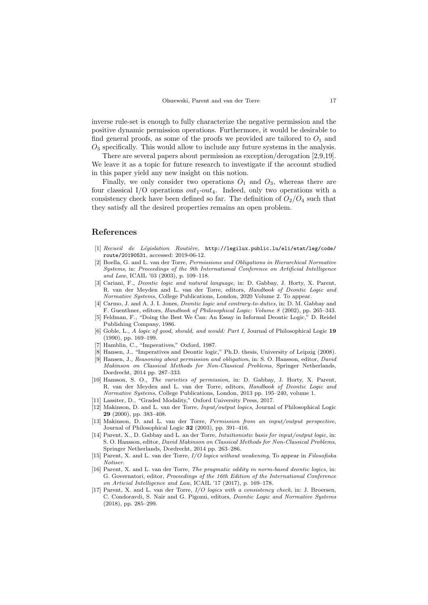inverse rule-set is enough to fully characterize the negative permission and the positive dynamic permission operations. Furthermore, it would be desirable to find general proofs, as some of the proofs we provided are tailored to  $O_1$  and  $O<sub>3</sub>$  specifically. This would allow to include any future systems in the analysis.

There are several papers about permission as exception/derogation [\[2,](#page-16-15)[9](#page-16-16)[,19\]](#page-17-4). We leave it as a topic for future research to investigate if the account studied in this paper yield any new insight on this notion.

Finally, we only consider two operations  $O_1$  and  $O_3$ , whereas there are four classical I/O operations  $out_1-out_4$ . Indeed, only two operations with a consistency check have been defined so far. The definition of  $O_2/O_4$  such that they satisfy all the desired properties remains an open problem.

# References

- <span id="page-16-10"></span>[1] Recueil de Législation Routière, [http://legilux.public.lu/eli/etat/leg/code/](http://legilux.public.lu/eli/etat/leg/code/route/20190531) [route/20190531](http://legilux.public.lu/eli/etat/leg/code/route/20190531), accessed: 2019-06-12.
- <span id="page-16-15"></span>[2] Boella, G. and L. van der Torre, Permissions and Obligations in Hierarchical Normative Systems, in: Proceedings of the 9th International Conference on Artificial Intelligence and Law, ICAIL '03 (2003), p. 109–118.
- <span id="page-16-9"></span>[3] Cariani, F., Deontic logic and natural language, in: D. Gabbay, J. Horty, X. Parent, R. van der Meyden and L. van der Torre, editors, Handbook of Deontic Logic and Normative Systems, College Publications, London, 2020 Volume 2. To appear.
- <span id="page-16-14"></span>[4] Carmo, J. and A. J. I. Jones, *Deontic logic and contrary-to-duties*, in: D. M. Gabbay and F. Guenthner, editors, Handbook of Philosophical Logic: Volume 8 (2002), pp. 265–343.
- <span id="page-16-11"></span>[5] Feldman, F., "Doing the Best We Can: An Essay in Informal Deontic Logic," D. Reidel Publishing Company, 1986.
- <span id="page-16-6"></span>[6] Goble, L., A logic of good, should, and would: Part I, Journal of Philosophical Logic 19 (1990), pp. 169–199.
- <span id="page-16-5"></span>[7] Hamblin, C., "Imperatives," Oxford, 1987.
- <span id="page-16-7"></span>[8] Hansen, J., "Imperatives and Deontic logic," Ph.D. thesis, University of Leipzig (2008).
- <span id="page-16-16"></span>[9] Hansen, J., Reasoning about permission and obligation, in: S. O. Hansson, editor, David Makinson on Classical Methods for Non-Classical Problems, Springer Netherlands, Dordrecht, 2014 pp. 287–333.
- <span id="page-16-2"></span>[10] Hansson, S. O., The varieties of permission, in: D. Gabbay, J. Horty, X. Parent, R. van der Meyden and L. van der Torre, editors, Handbook of Deontic Logic and Normative Systems, College Publications, London, 2013 pp. 195–240, volume 1. [11] Lassiter, D., "Graded Modality," Oxford University Press, 2017.
- <span id="page-16-12"></span><span id="page-16-8"></span>[12] Makinson, D. and L. van der Torre, Input/output logics, Journal of Philosophical Logic 29 (2000), pp. 383–408.
- <span id="page-16-1"></span>[13] Makinson, D. and L. van der Torre, Permission from an input/output perspective, Journal of Philosophical Logic 32 (2003), pp. 391–416.
- <span id="page-16-3"></span>[14] Parent, X., D. Gabbay and L. an der Torre, *Intuitionistic basis for input/output logic*, in: S. O. Hansson, editor, David Makinson on Classical Methods for Non-Classical Problems, Springer Netherlands, Dordrecht, 2014 pp. 263–286.
- <span id="page-16-4"></span>[15] Parent, X. and L. van der Torre, I/O logics without weakening, To appear in Filosofiska Notiser.
- <span id="page-16-13"></span>[16] Parent, X. and L. van der Torre, The pragmatic oddity in norm-based deontic logics, in: G. Governatori, editor, Proceedings of the 16th Edition of the International Conference on Articial Intelligence and Law, ICAIL '17 (2017), p. 169–178.
- <span id="page-16-0"></span>[17] Parent, X. and L. van der Torre, I/O logics with a consistency check, in: J. Broersen, C. Condoravdi, S. Nair and G. Pigozzi, editors, Deontic Logic and Normative Systems (2018), pp. 285–299.